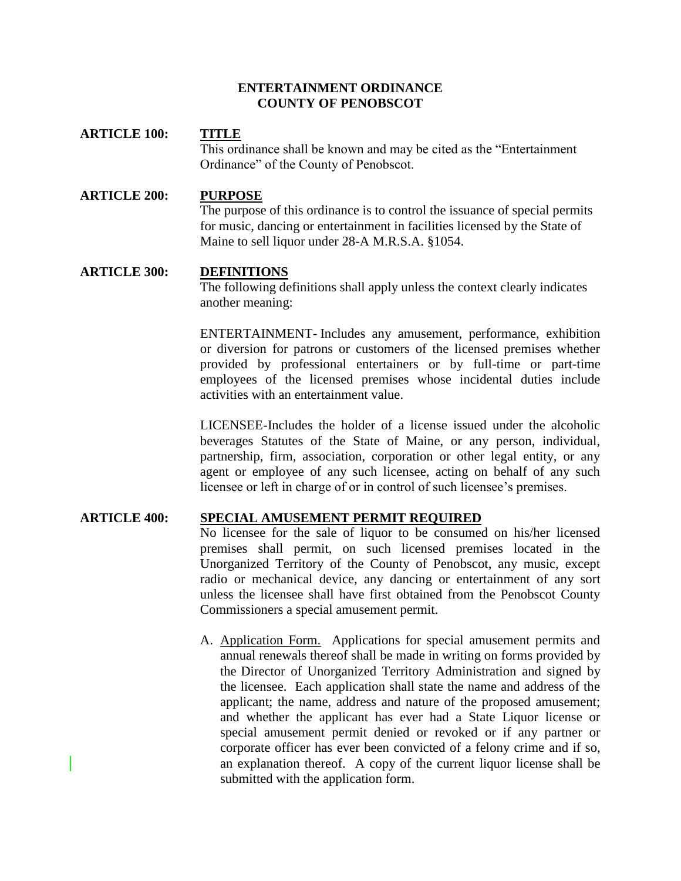#### **ENTERTAINMENT ORDINANCE COUNTY OF PENOBSCOT**

## **ARTICLE 100: TITLE** This ordinance shall be known and may be cited as the "Entertainment Ordinance" of the County of Penobscot.

## **ARTICLE 200: PURPOSE**

The purpose of this ordinance is to control the issuance of special permits for music, dancing or entertainment in facilities licensed by the State of Maine to sell liquor under 28-A M.R.S.A. §1054.

#### **ARTICLE 300: DEFINITIONS**

The following definitions shall apply unless the context clearly indicates another meaning:

ENTERTAINMENT- Includes any amusement, performance, exhibition or diversion for patrons or customers of the licensed premises whether provided by professional entertainers or by full-time or part-time employees of the licensed premises whose incidental duties include activities with an entertainment value.

LICENSEE-Includes the holder of a license issued under the alcoholic beverages Statutes of the State of Maine, or any person, individual, partnership, firm, association, corporation or other legal entity, or any agent or employee of any such licensee, acting on behalf of any such licensee or left in charge of or in control of such licensee's premises.

## **ARTICLE 400: SPECIAL AMUSEMENT PERMIT REQUIRED**

No licensee for the sale of liquor to be consumed on his/her licensed premises shall permit, on such licensed premises located in the Unorganized Territory of the County of Penobscot, any music, except radio or mechanical device, any dancing or entertainment of any sort unless the licensee shall have first obtained from the Penobscot County Commissioners a special amusement permit.

A. Application Form. Applications for special amusement permits and annual renewals thereof shall be made in writing on forms provided by the Director of Unorganized Territory Administration and signed by the licensee. Each application shall state the name and address of the applicant; the name, address and nature of the proposed amusement; and whether the applicant has ever had a State Liquor license or special amusement permit denied or revoked or if any partner or corporate officer has ever been convicted of a felony crime and if so, an explanation thereof. A copy of the current liquor license shall be submitted with the application form.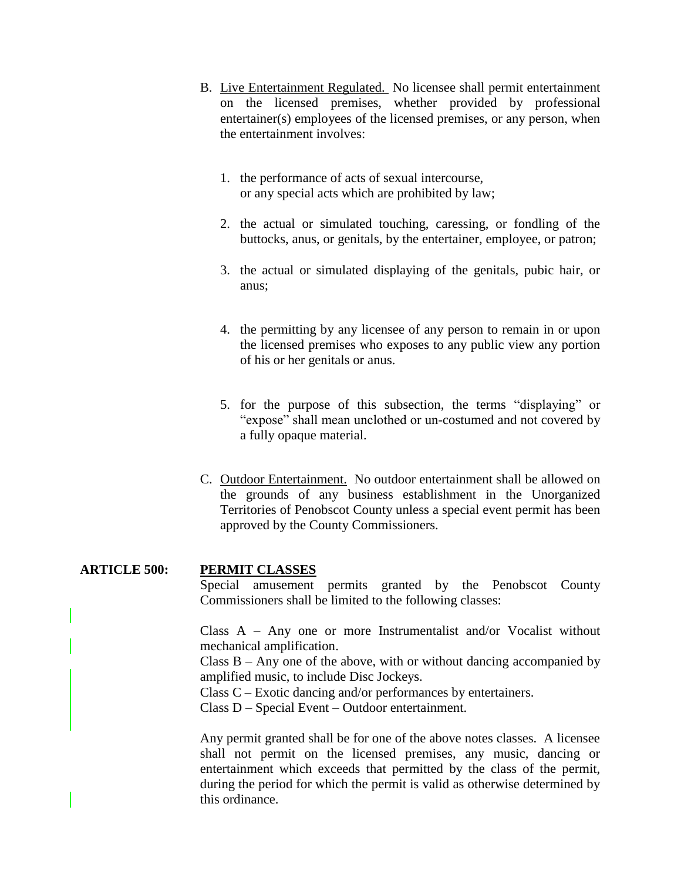- B. Live Entertainment Regulated. No licensee shall permit entertainment on the licensed premises, whether provided by professional entertainer(s) employees of the licensed premises, or any person, when the entertainment involves:
	- 1. the performance of acts of sexual intercourse, or any special acts which are prohibited by law;
	- 2. the actual or simulated touching, caressing, or fondling of the buttocks, anus, or genitals, by the entertainer, employee, or patron;
	- 3. the actual or simulated displaying of the genitals, pubic hair, or anus;
	- 4. the permitting by any licensee of any person to remain in or upon the licensed premises who exposes to any public view any portion of his or her genitals or anus.
	- 5. for the purpose of this subsection, the terms "displaying" or "expose" shall mean unclothed or un-costumed and not covered by a fully opaque material.
- C. Outdoor Entertainment. No outdoor entertainment shall be allowed on the grounds of any business establishment in the Unorganized Territories of Penobscot County unless a special event permit has been approved by the County Commissioners.

**ARTICLE 500: PERMIT CLASSES** Special amusement permits granted by the Penobscot County Commissioners shall be limited to the following classes: Class A – Any one or more Instrumentalist and/or Vocalist without mechanical amplification. Class  $B - Any$  one of the above, with or without dancing accompanied by amplified music, to include Disc Jockeys. Class C – Exotic dancing and/or performances by entertainers. Class D – Special Event – Outdoor entertainment. Any permit granted shall be for one of the above notes classes. A licensee shall not permit on the licensed premises, any music, dancing or

entertainment which exceeds that permitted by the class of the permit, during the period for which the permit is valid as otherwise determined by this ordinance.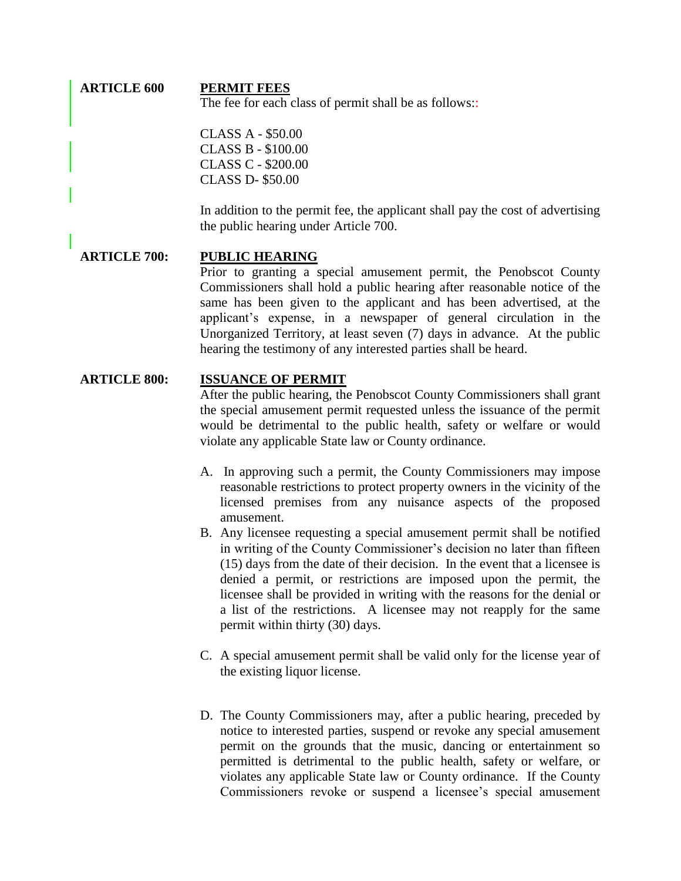#### **ARTICLE 600 PERMIT FEES** The fee for each class of permit shall be as follows::

CLASS A - \$50.00 CLASS B - \$100.00 CLASS C - \$200.00 CLASS D- \$50.00

In addition to the permit fee, the applicant shall pay the cost of advertising the public hearing under Article 700.

## **ARTICLE 700: PUBLIC HEARING** Prior to granting a special amusement permit, the Penobscot County Commissioners shall hold a public hearing after reasonable notice of the same has been given to the applicant and has been advertised, at the applicant's expense, in a newspaper of general circulation in the Unorganized Territory, at least seven (7) days in advance. At the public hearing the testimony of any interested parties shall be heard.

#### **ARTICLE 800: ISSUANCE OF PERMIT**

After the public hearing, the Penobscot County Commissioners shall grant the special amusement permit requested unless the issuance of the permit would be detrimental to the public health, safety or welfare or would violate any applicable State law or County ordinance.

- A. In approving such a permit, the County Commissioners may impose reasonable restrictions to protect property owners in the vicinity of the licensed premises from any nuisance aspects of the proposed amusement.
- B. Any licensee requesting a special amusement permit shall be notified in writing of the County Commissioner's decision no later than fifteen (15) days from the date of their decision. In the event that a licensee is denied a permit, or restrictions are imposed upon the permit, the licensee shall be provided in writing with the reasons for the denial or a list of the restrictions. A licensee may not reapply for the same permit within thirty (30) days.
- C. A special amusement permit shall be valid only for the license year of the existing liquor license.
- D. The County Commissioners may, after a public hearing, preceded by notice to interested parties, suspend or revoke any special amusement permit on the grounds that the music, dancing or entertainment so permitted is detrimental to the public health, safety or welfare, or violates any applicable State law or County ordinance. If the County Commissioners revoke or suspend a licensee's special amusement